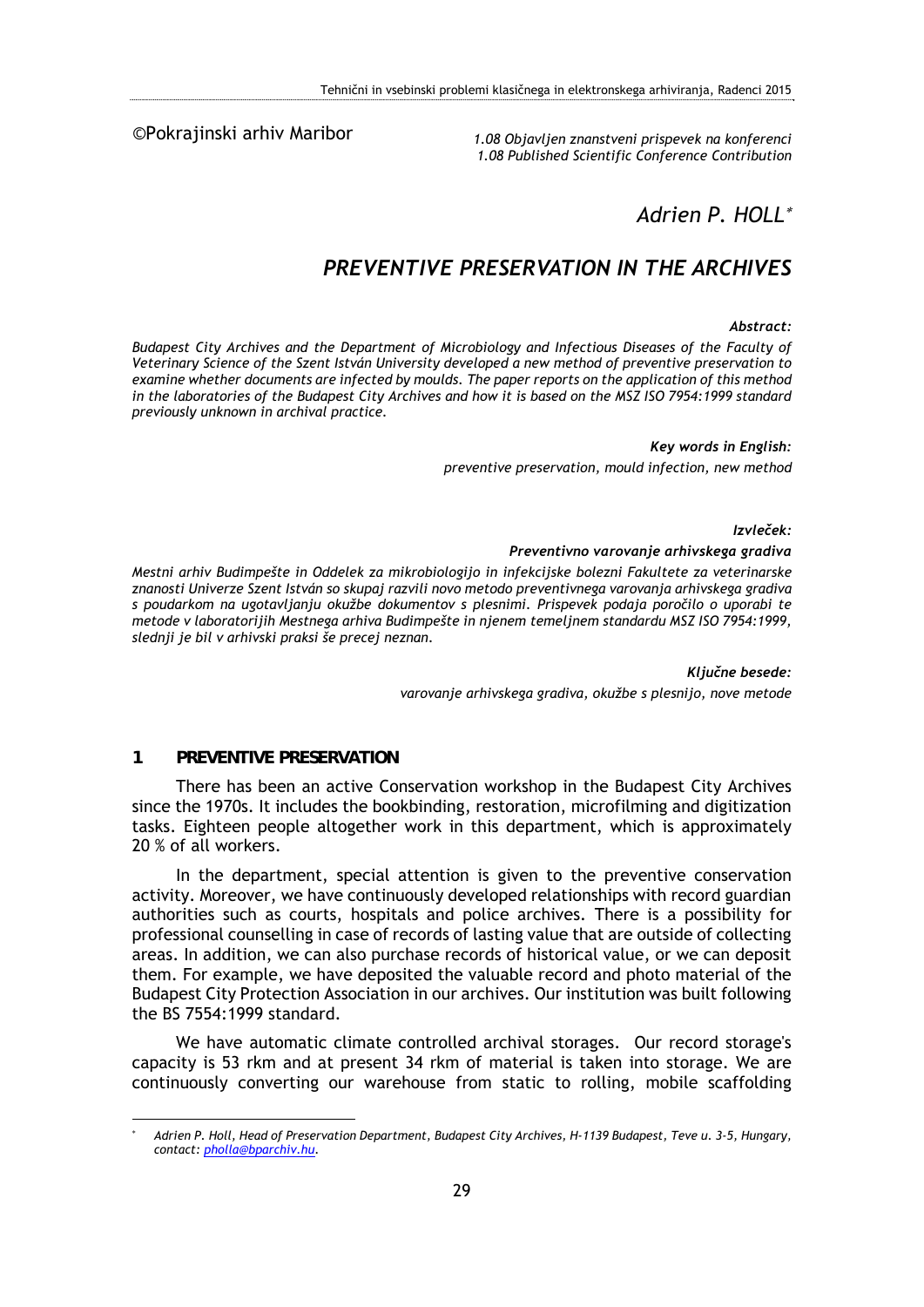©Pokrajinski arhiv Maribor

*1.08 Objavljen znanstveni prispevek na konferenci 1.08 Published Scientific Conference Contribution* 

# *Adrien P. HOLL*

# *PREVENTIVE PRESERVATION IN THE ARCHIVES*

#### *Abstract:*

*Budapest City Archives and the Department of Microbiology and Infectious Diseases of the Faculty of Veterinary Science of the Szent István University developed a new method of preventive preservation to examine whether documents are infected by moulds. The paper reports on the application of this method in the laboratories of the Budapest City Archives and how it is based on the MSZ ISO 7954:1999 standard previously unknown in archival practice.* 

#### *Key words in English:*

*preventive preservation, mould infection, new method* 

*Izvleček:* 

#### *Preventivno varovanje arhivskega gradiva*

*Mestni arhiv Budimpešte in Oddelek za mikrobiologijo in infekcijske bolezni Fakultete za veterinarske znanosti Univerze Szent István so skupaj razvili novo metodo preventivnega varovanja arhivskega gradiva s poudarkom na ugotavljanju okužbe dokumentov s plesnimi. Prispevek podaja poročilo o uporabi te metode v laboratorijih Mestnega arhiva Budimpešte in njenem temeljnem standardu MSZ ISO 7954:1999, slednji je bil v arhivski praksi še precej neznan.* 

> *Ključne besede: varovanje arhivskega gradiva, okužbe s plesnijo, nove metode*

## **1 PREVENTIVE PRESERVATION**

1

There has been an active Conservation workshop in the Budapest City Archives since the 1970s. It includes the bookbinding, restoration, microfilming and digitization tasks. Eighteen people altogether work in this department, which is approximately 20 % of all workers.

In the department, special attention is given to the preventive conservation activity. Moreover, we have continuously developed relationships with record guardian authorities such as courts, hospitals and police archives. There is a possibility for professional counselling in case of records of lasting value that are outside of collecting areas. In addition, we can also purchase records of historical value, or we can deposit them. For example, we have deposited the valuable record and photo material of the Budapest City Protection Association in our archives. Our institution was built following the BS 7554:1999 standard.

We have automatic climate controlled archival storages. Our record storage's capacity is 53 rkm and at present 34 rkm of material is taken into storage. We are continuously converting our warehouse from static to rolling, mobile scaffolding

<sup>\*</sup>  *Adrien P. Holl, Head of Preservation Department, Budapest City Archives, H-1139 Budapest, Teve u. 3-5, Hungary, contact: pholla@bparchiv.hu.*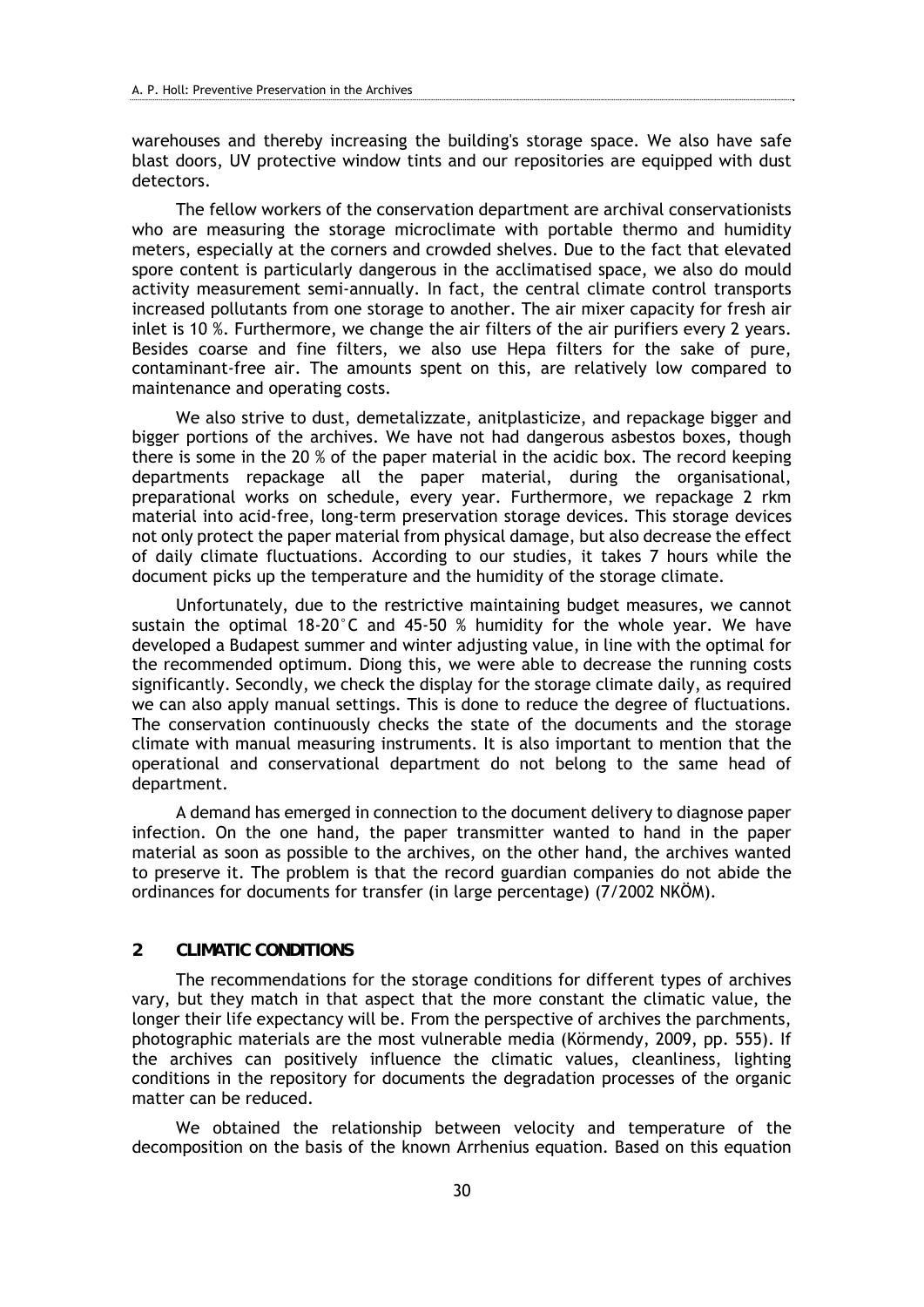warehouses and thereby increasing the building's storage space. We also have safe blast doors, UV protective window tints and our repositories are equipped with dust detectors.

The fellow workers of the conservation department are archival conservationists who are measuring the storage microclimate with portable thermo and humidity meters, especially at the corners and crowded shelves. Due to the fact that elevated spore content is particularly dangerous in the acclimatised space, we also do mould activity measurement semi-annually. In fact, the central climate control transports increased pollutants from one storage to another. The air mixer capacity for fresh air inlet is 10 %. Furthermore, we change the air filters of the air purifiers every 2 years. Besides coarse and fine filters, we also use Hepa filters for the sake of pure, contaminant-free air. The amounts spent on this, are relatively low compared to maintenance and operating costs.

We also strive to dust, demetalizzate, anitplasticize, and repackage bigger and bigger portions of the archives. We have not had dangerous asbestos boxes, though there is some in the 20 % of the paper material in the acidic box. The record keeping departments repackage all the paper material, during the organisational, preparational works on schedule, every year. Furthermore, we repackage 2 rkm material into acid-free, long-term preservation storage devices. This storage devices not only protect the paper material from physical damage, but also decrease the effect of daily climate fluctuations. According to our studies, it takes 7 hours while the document picks up the temperature and the humidity of the storage climate.

Unfortunately, due to the restrictive maintaining budget measures, we cannot sustain the optimal 18-20°C and 45-50 % humidity for the whole year. We have developed a Budapest summer and winter adjusting value, in line with the optimal for the recommended optimum. Diong this, we were able to decrease the running costs significantly. Secondly, we check the display for the storage climate daily, as required we can also apply manual settings. This is done to reduce the degree of fluctuations. The conservation continuously checks the state of the documents and the storage climate with manual measuring instruments. It is also important to mention that the operational and conservational department do not belong to the same head of department.

A demand has emerged in connection to the document delivery to diagnose paper infection. On the one hand, the paper transmitter wanted to hand in the paper material as soon as possible to the archives, on the other hand, the archives wanted to preserve it. The problem is that the record guardian companies do not abide the ordinances for documents for transfer (in large percentage) (7/2002 NKÖM).

## **2 CLIMATIC CONDITIONS**

The recommendations for the storage conditions for different types of archives vary, but they match in that aspect that the more constant the climatic value, the longer their life expectancy will be. From the perspective of archives the parchments, photographic materials are the most vulnerable media (Körmendy, 2009, pp. 555). If the archives can positively influence the climatic values, cleanliness, lighting conditions in the repository for documents the degradation processes of the organic matter can be reduced.

We obtained the relationship between velocity and temperature of the decomposition on the basis of the known Arrhenius equation. Based on this equation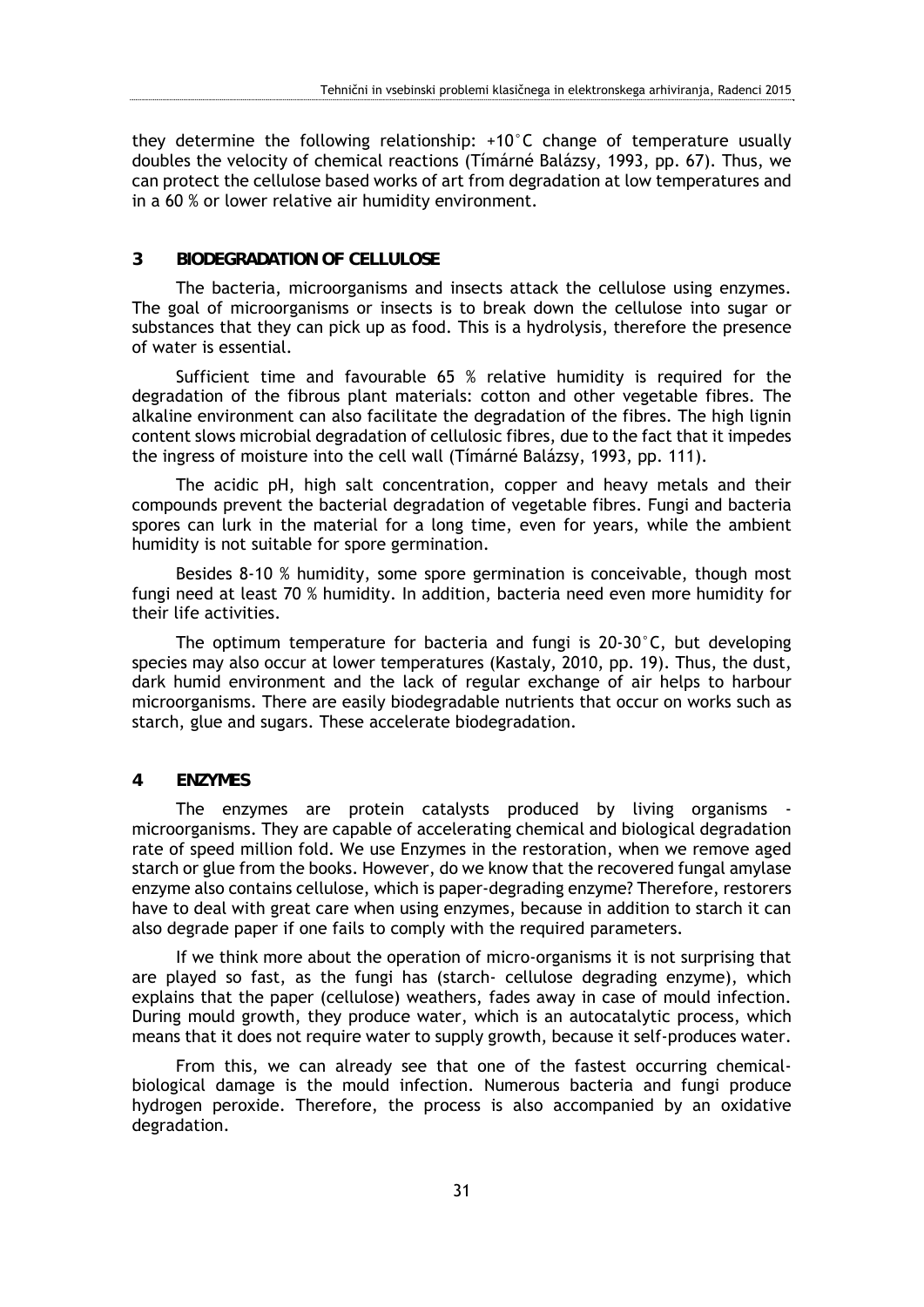they determine the following relationship: +10°C change of temperature usually doubles the velocity of chemical reactions (Tímárné Balázsy, 1993, pp. 67). Thus, we can protect the cellulose based works of art from degradation at low temperatures and in a 60 % or lower relative air humidity environment.

### **3 BIODEGRADATION OF CELLULOSE**

The bacteria, microorganisms and insects attack the cellulose using enzymes. The goal of microorganisms or insects is to break down the cellulose into sugar or substances that they can pick up as food. This is a hydrolysis, therefore the presence of water is essential.

Sufficient time and favourable 65 % relative humidity is required for the degradation of the fibrous plant materials: cotton and other vegetable fibres. The alkaline environment can also facilitate the degradation of the fibres. The high lignin content slows microbial degradation of cellulosic fibres, due to the fact that it impedes the ingress of moisture into the cell wall (Tímárné Balázsy, 1993, pp. 111).

The acidic pH, high salt concentration, copper and heavy metals and their compounds prevent the bacterial degradation of vegetable fibres. Fungi and bacteria spores can lurk in the material for a long time, even for years, while the ambient humidity is not suitable for spore germination.

Besides 8-10 % humidity, some spore germination is conceivable, though most fungi need at least 70 % humidity. In addition, bacteria need even more humidity for their life activities.

The optimum temperature for bacteria and fungi is  $20-30^\circ$ C, but developing species may also occur at lower temperatures (Kastaly, 2010, pp. 19). Thus, the dust, dark humid environment and the lack of regular exchange of air helps to harbour microorganisms. There are easily biodegradable nutrients that occur on works such as starch, glue and sugars. These accelerate biodegradation.

## **4 ENZYMES**

The enzymes are protein catalysts produced by living organisms microorganisms. They are capable of accelerating chemical and biological degradation rate of speed million fold. We use Enzymes in the restoration, when we remove aged starch or glue from the books. However, do we know that the recovered fungal amylase enzyme also contains cellulose, which is paper-degrading enzyme? Therefore, restorers have to deal with great care when using enzymes, because in addition to starch it can also degrade paper if one fails to comply with the required parameters.

If we think more about the operation of micro-organisms it is not surprising that are played so fast, as the fungi has (starch- cellulose degrading enzyme), which explains that the paper (cellulose) weathers, fades away in case of mould infection. During mould growth, they produce water, which is an autocatalytic process, which means that it does not require water to supply growth, because it self-produces water.

From this, we can already see that one of the fastest occurring chemicalbiological damage is the mould infection. Numerous bacteria and fungi produce hydrogen peroxide. Therefore, the process is also accompanied by an oxidative degradation.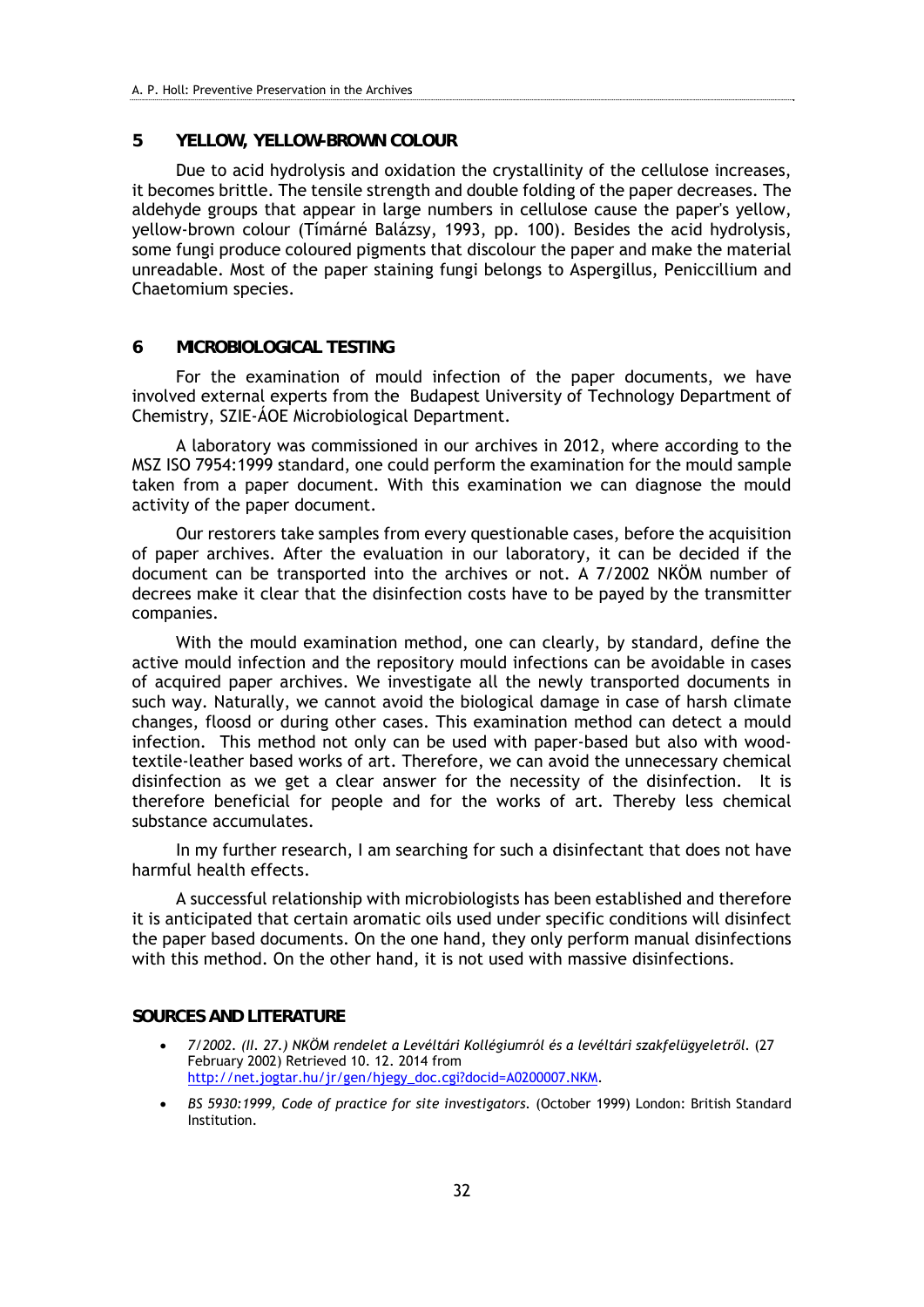#### **5 YELLOW, YELLOW-BROWN COLOUR**

Due to acid hydrolysis and oxidation the crystallinity of the cellulose increases, it becomes brittle. The tensile strength and double folding of the paper decreases. The aldehyde groups that appear in large numbers in cellulose cause the paper's yellow, yellow-brown colour (Tímárné Balázsy, 1993, pp. 100). Besides the acid hydrolysis, some fungi produce coloured pigments that discolour the paper and make the material unreadable. Most of the paper staining fungi belongs to Aspergillus, Peniccillium and Chaetomium species.

#### **6 MICROBIOLOGICAL TESTING**

For the examination of mould infection of the paper documents, we have involved external experts from the Budapest University of Technology Department of Chemistry, SZIE-ÁOE Microbiological Department.

A laboratory was commissioned in our archives in 2012, where according to the MSZ ISO 7954:1999 standard, one could perform the examination for the mould sample taken from a paper document. With this examination we can diagnose the mould activity of the paper document.

Our restorers take samples from every questionable cases, before the acquisition of paper archives. After the evaluation in our laboratory, it can be decided if the document can be transported into the archives or not. A 7/2002 NKÖM number of decrees make it clear that the disinfection costs have to be payed by the transmitter companies.

With the mould examination method, one can clearly, by standard, define the active mould infection and the repository mould infections can be avoidable in cases of acquired paper archives. We investigate all the newly transported documents in such way. Naturally, we cannot avoid the biological damage in case of harsh climate changes, floosd or during other cases. This examination method can detect a mould infection. This method not only can be used with paper-based but also with woodtextile-leather based works of art. Therefore, we can avoid the unnecessary chemical disinfection as we get a clear answer for the necessity of the disinfection. It is therefore beneficial for people and for the works of art. Thereby less chemical substance accumulates.

In my further research, I am searching for such a disinfectant that does not have harmful health effects.

A successful relationship with microbiologists has been established and therefore it is anticipated that certain aromatic oils used under specific conditions will disinfect the paper based documents. On the one hand, they only perform manual disinfections with this method. On the other hand, it is not used with massive disinfections.

#### **SOURCES AND LITERATURE**

- *7/2002. (II. 27.) NKÖM rendelet a Levéltári Kollégiumról és a levéltári szakfelügyeletről.* (27 February 2002) Retrieved 10. 12. 2014 from http://net.jogtar.hu/jr/gen/hjegy\_doc.cgi?docid=A0200007.NKM.
- *BS 5930:1999, Code of practice for site investigators.* (October 1999) London: British Standard Institution.